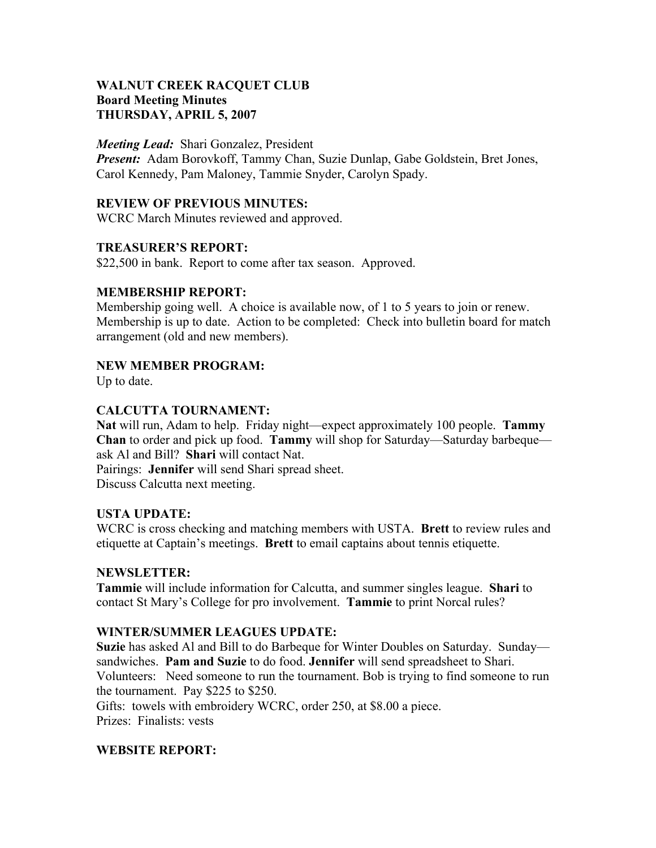## **WALNUT CREEK RACQUET CLUB Board Meeting Minutes THURSDAY, APRIL 5, 2007**

#### *Meeting Lead:* Shari Gonzalez, President

*Present:* Adam Borovkoff, Tammy Chan, Suzie Dunlap, Gabe Goldstein, Bret Jones, Carol Kennedy, Pam Maloney, Tammie Snyder, Carolyn Spady.

#### **REVIEW OF PREVIOUS MINUTES:**

WCRC March Minutes reviewed and approved.

#### **TREASURER'S REPORT:**

\$22,500 in bank. Report to come after tax season. Approved.

## **MEMBERSHIP REPORT:**

Membership going well. A choice is available now, of 1 to 5 years to join or renew. Membership is up to date. Action to be completed: Check into bulletin board for match arrangement (old and new members).

## **NEW MEMBER PROGRAM:**

Up to date.

## **CALCUTTA TOURNAMENT:**

**Nat** will run, Adam to help. Friday night—expect approximately 100 people. **Tammy Chan** to order and pick up food. **Tammy** will shop for Saturday—Saturday barbeque ask Al and Bill? **Shari** will contact Nat.

Pairings: **Jennifer** will send Shari spread sheet. Discuss Calcutta next meeting.

#### **USTA UPDATE:**

WCRC is cross checking and matching members with USTA. **Brett** to review rules and etiquette at Captain's meetings. **Brett** to email captains about tennis etiquette.

#### **NEWSLETTER:**

**Tammie** will include information for Calcutta, and summer singles league. **Shari** to contact St Mary's College for pro involvement. **Tammie** to print Norcal rules?

#### **WINTER/SUMMER LEAGUES UPDATE:**

**Suzie** has asked Al and Bill to do Barbeque for Winter Doubles on Saturday. Sunday sandwiches. **Pam and Suzie** to do food. **Jennifer** will send spreadsheet to Shari. Volunteers: Need someone to run the tournament. Bob is trying to find someone to run the tournament. Pay \$225 to \$250.

Gifts: towels with embroidery WCRC, order 250, at \$8.00 a piece. Prizes: Finalists: vests

# **WEBSITE REPORT:**